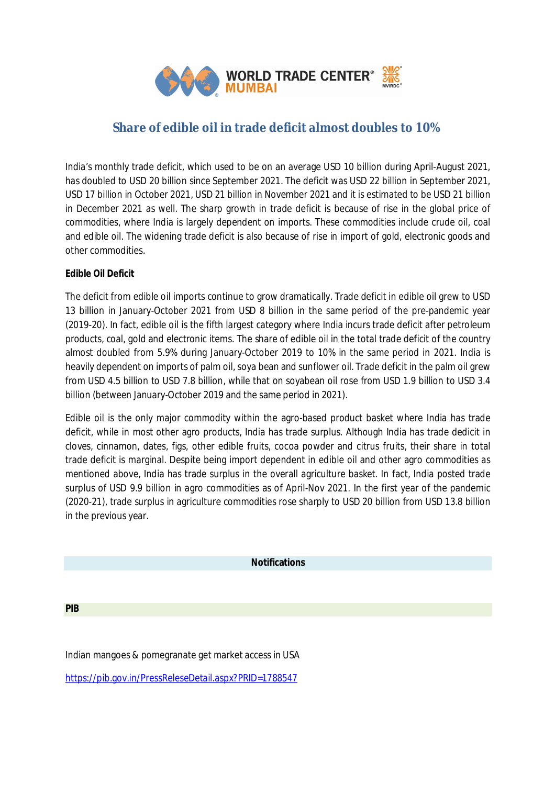

# **Share of edible oil in trade deficit almost doubles to 10%**

India's monthly trade deficit, which used to be on an average USD 10 billion during April-August 2021, has doubled to USD 20 billion since September 2021. The deficit was USD 22 billion in September 2021, USD 17 billion in October 2021, USD 21 billion in November 2021 and it is estimated to be USD 21 billion in December 2021 as well. The sharp growth in trade deficit is because of rise in the global price of commodities, where India is largely dependent on imports. These commodities include crude oil, coal and edible oil. The widening trade deficit is also because of rise in import of gold, electronic goods and other commodities.

## **Edible Oil Deficit**

The deficit from edible oil imports continue to grow dramatically. Trade deficit in edible oil grew to USD 13 billion in January-October 2021 from USD 8 billion in the same period of the pre-pandemic year (2019-20). In fact, edible oil is the fifth largest category where India incurs trade deficit after petroleum products, coal, gold and electronic items. The share of edible oil in the total trade deficit of the country almost doubled from 5.9% during January-October 2019 to 10% in the same period in 2021. India is heavily dependent on imports of palm oil, soya bean and sunflower oil. Trade deficit in the palm oil grew from USD 4.5 billion to USD 7.8 billion, while that on soyabean oil rose from USD 1.9 billion to USD 3.4 billion (between January-October 2019 and the same period in 2021).

Edible oil is the only major commodity within the agro-based product basket where India has trade deficit, while in most other agro products, India has trade surplus. Although India has trade dedicit in cloves, cinnamon, dates, figs, other edible fruits, cocoa powder and citrus fruits, their share in total trade deficit is marginal. Despite being import dependent in edible oil and other agro commodities as mentioned above, India has trade surplus in the overall agriculture basket. In fact, India posted trade surplus of USD 9.9 billion in agro commodities as of April-Nov 2021. In the first year of the pandemic (2020-21), trade surplus in agriculture commodities rose sharply to USD 20 billion from USD 13.8 billion in the previous year.

#### **Notifications**

**PIB**

Indian mangoes & pomegranate get market access in USA

https://pib.gov.in/PressReleseDetail.aspx?PRID=1788547